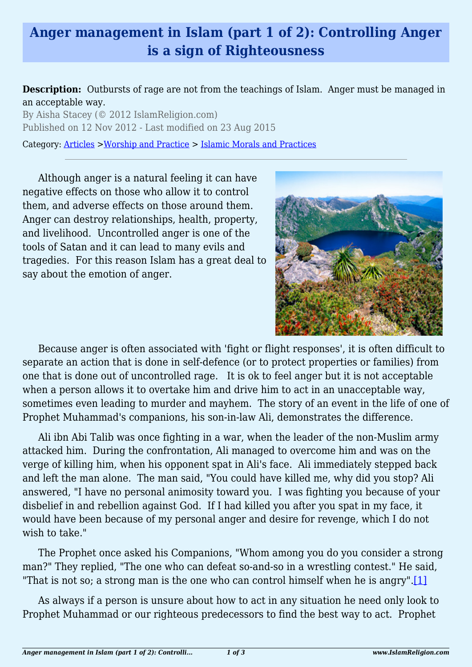## **Anger management in Islam (part 1 of 2): Controlling Anger is a sign of Righteousness**

## **Description:** Outbursts of rage are not from the teachings of Islam. Anger must be managed in an acceptable way.

By Aisha Stacey (© 2012 IslamReligion.com) Published on 12 Nov 2012 - Last modified on 23 Aug 2015

Category: [Articles](http://www.islamreligion.com/articles/) >[Worship and Practice](http://www.islamreligion.com/category/55/) > [Islamic Morals and Practices](http://www.islamreligion.com/category/58/)

Although anger is a natural feeling it can have negative effects on those who allow it to control them, and adverse effects on those around them. Anger can destroy relationships, health, property, and livelihood. Uncontrolled anger is one of the tools of Satan and it can lead to many evils and tragedies. For this reason Islam has a great deal to say about the emotion of anger.



Because anger is often associated with 'fight or flight responses', it is often difficult to separate an action that is done in self-defence (or to protect properties or families) from one that is done out of uncontrolled rage. It is ok to feel anger but it is not acceptable when a person allows it to overtake him and drive him to act in an unacceptable way, sometimes even leading to murder and mayhem. The story of an event in the life of one of Prophet Muhammad's companions, his son-in-law Ali, demonstrates the difference.

Ali ibn Abi Talib was once fighting in a war, when the leader of the non-Muslim army attacked him. During the confrontation, Ali managed to overcome him and was on the verge of killing him, when his opponent spat in Ali's face. Ali immediately stepped back and left the man alone. The man said, "You could have killed me, why did you stop? Ali answered, "I have no personal animosity toward you. I was fighting you because of your disbelief in and rebellion against God. If I had killed you after you spat in my face, it would have been because of my personal anger and desire for revenge, which I do not wish to take."

The Prophet once asked his Companions, "Whom among you do you consider a strong man?" They replied, "The one who can defeat so-and-so in a wrestling contest." He said, "That is not so; a strong man is the one who can control himself when he is angry".[\[1\]](#page-2-0)

<span id="page-0-0"></span>As always if a person is unsure about how to act in any situation he need only look to Prophet Muhammad or our righteous predecessors to find the best way to act. Prophet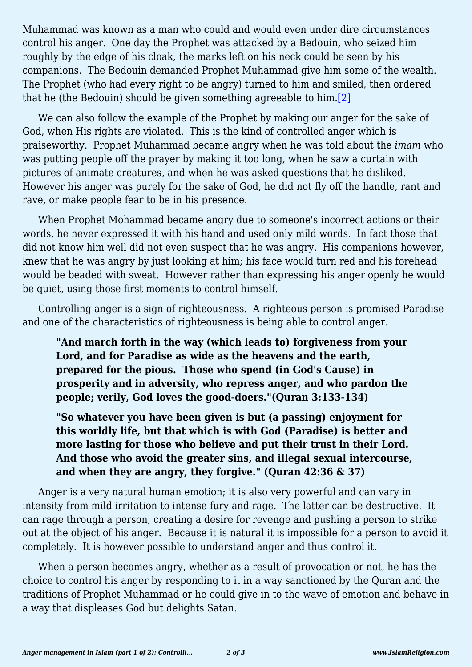Muhammad was known as a man who could and would even under dire circumstances control his anger. One day the Prophet was attacked by a Bedouin, who seized him roughly by the edge of his cloak, the marks left on his neck could be seen by his companions. The Bedouin demanded Prophet Muhammad give him some of the wealth. The Prophet (who had every right to be angry) turned to him and smiled, then ordered that he (the Bedouin) should be given something agreeable to him.[\[2\]](#page-2-1)

<span id="page-1-0"></span>We can also follow the example of the Prophet by making our anger for the sake of God, when His rights are violated. This is the kind of controlled anger which is praiseworthy. Prophet Muhammad became angry when he was told about the *imam* who was putting people off the prayer by making it too long, when he saw a curtain with pictures of animate creatures, and when he was asked questions that he disliked. However his anger was purely for the sake of God, he did not fly off the handle, rant and rave, or make people fear to be in his presence.

When Prophet Mohammad became angry due to someone's incorrect actions or their words, he never expressed it with his hand and used only mild words. In fact those that did not know him well did not even suspect that he was angry. His companions however, knew that he was angry by just looking at him; his face would turn red and his forehead would be beaded with sweat. However rather than expressing his anger openly he would be quiet, using those first moments to control himself.

Controlling anger is a sign of righteousness. A righteous person is promised Paradise and one of the characteristics of righteousness is being able to control anger.

**"And march forth in the way (which leads to) forgiveness from your Lord, and for Paradise as wide as the heavens and the earth, prepared for the pious. Those who spend (in God's Cause) in prosperity and in adversity, who repress anger, and who pardon the people; verily, God loves the good-doers."(Quran 3:133-134)**

**"So whatever you have been given is but (a passing) enjoyment for this worldly life, but that which is with God (Paradise) is better and more lasting for those who believe and put their trust in their Lord. And those who avoid the greater sins, and illegal sexual intercourse, and when they are angry, they forgive." (Quran 42:36 & 37)**

Anger is a very natural human emotion; it is also very powerful and can vary in intensity from mild irritation to intense fury and rage. The latter can be destructive. It can rage through a person, creating a desire for revenge and pushing a person to strike out at the object of his anger. Because it is natural it is impossible for a person to avoid it completely. It is however possible to understand anger and thus control it.

When a person becomes angry, whether as a result of provocation or not, he has the choice to control his anger by responding to it in a way sanctioned by the Quran and the traditions of Prophet Muhammad or he could give in to the wave of emotion and behave in a way that displeases God but delights Satan.